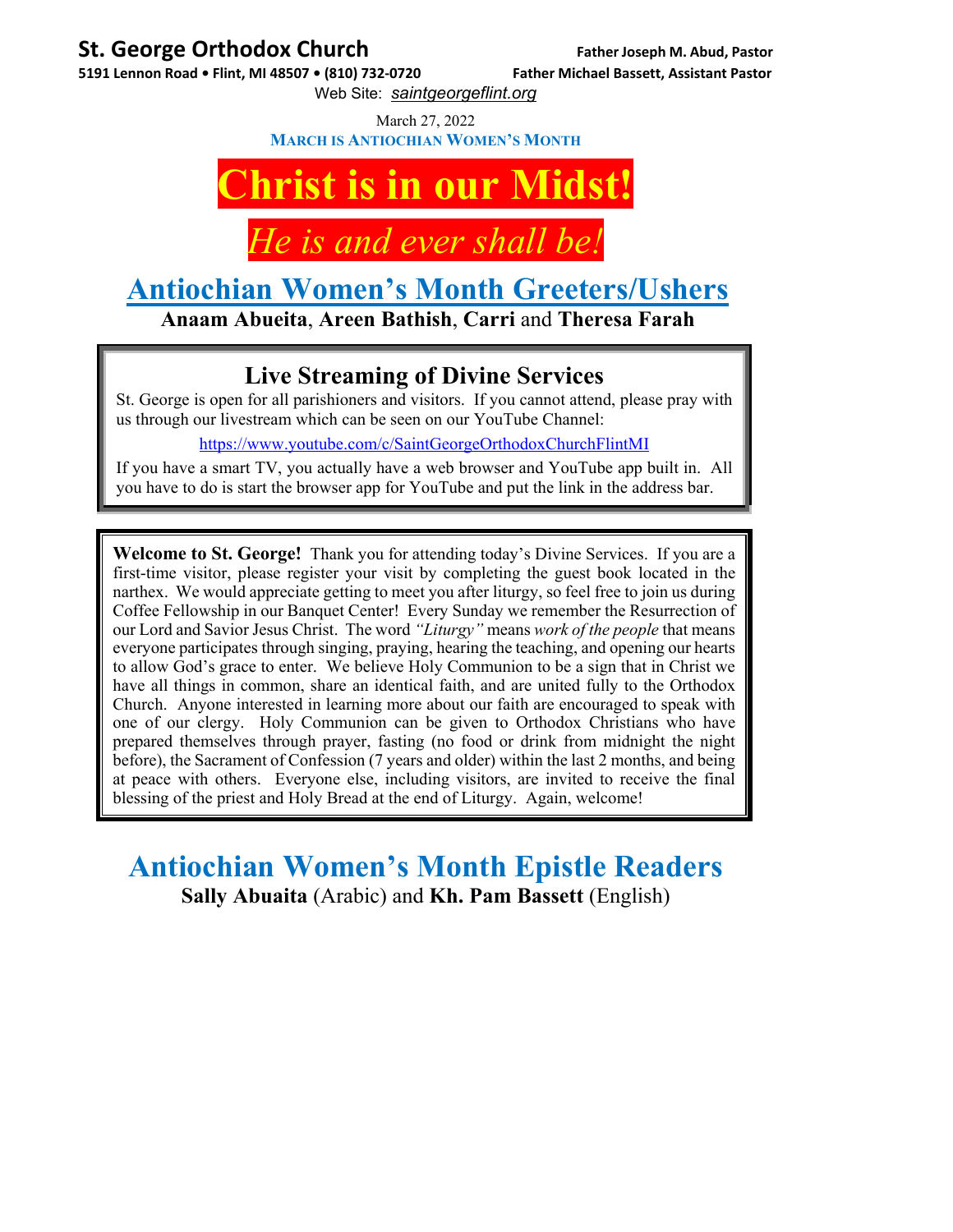### **St. George Orthodox Church Father Joseph M. Abud, Pastor**

5191 Lennon Road . Flint, MI 48507 . (810) 732-0720 Father Michael Bassett, Assistant Pastor

Web Site: *saintgeorgeflint.org*

March 27, 2022

**MARCH IS ANTIOCHIAN WOMEN'S MONTH**

# **Christ is in our Midst!**

## *He is and ever shall be!*

## **Antiochian Women's Month Greeters/Ushers**

**Anaam Abueita**, **Areen Bathish**, **Carri** and **Theresa Farah** 

## **Live Streaming of Divine Services**

St. George is open for all parishioners and visitors. If you cannot attend, please pray with us through our livestream which can be seen on our YouTube Channel:

https://www.youtube.com/c/SaintGeorgeOrthodoxChurchFlintMI

If you have a smart TV, you actually have a web browser and YouTube app built in. All you have to do is start the browser app for YouTube and put the link in the address bar.

**Welcome to St. George!** Thank you for attending today's Divine Services. If you are a first-time visitor, please register your visit by completing the guest book located in the narthex. We would appreciate getting to meet you after liturgy, so feel free to join us during Coffee Fellowship in our Banquet Center! Every Sunday we remember the Resurrection of our Lord and Savior Jesus Christ. The word *"Liturgy"* means *work of the people* that means everyone participates through singing, praying, hearing the teaching, and opening our hearts to allow God's grace to enter. We believe Holy Communion to be a sign that in Christ we have all things in common, share an identical faith, and are united fully to the Orthodox Church. Anyone interested in learning more about our faith are encouraged to speak with one of our clergy. Holy Communion can be given to Orthodox Christians who have prepared themselves through prayer, fasting (no food or drink from midnight the night before), the Sacrament of Confession (7 years and older) within the last 2 months, and being at peace with others. Everyone else, including visitors, are invited to receive the final blessing of the priest and Holy Bread at the end of Liturgy. Again, welcome!

## **Antiochian Women's Month Epistle Readers Sally Abuaita** (Arabic) and **Kh. Pam Bassett** (English)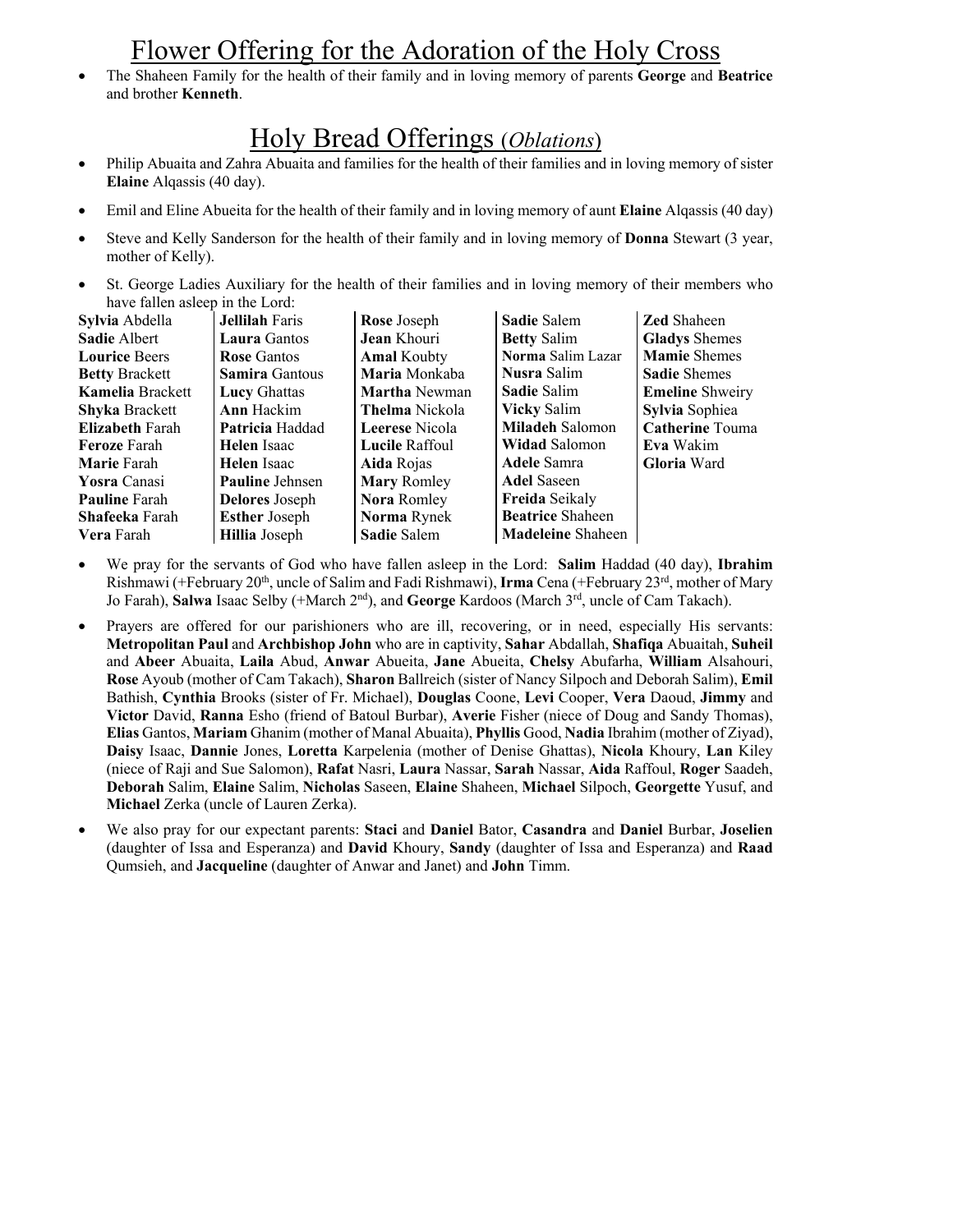## Flower Offering for the Adoration of the Holy Cross

 The Shaheen Family for the health of their family and in loving memory of parents **George** and **Beatrice** and brother **Kenneth**.

## Holy Bread Offerings (*Oblations*)

- Philip Abuaita and Zahra Abuaita and families for the health of their families and in loving memory of sister **Elaine** Alqassis (40 day).
- Emil and Eline Abueita for the health of their family and in loving memory of aunt **Elaine** Alqassis (40 day)
- Steve and Kelly Sanderson for the health of their family and in loving memory of **Donna** Stewart (3 year, mother of Kelly).
- St. George Ladies Auxiliary for the health of their families and in loving memory of their members who have fallen asleep in the Lord:

| Sylvia Abdella          | <b>Jellilah Faris</b>  | Rose Joseph           | <b>Sadie Salem</b>       | <b>Zed Shaheen</b>     |
|-------------------------|------------------------|-----------------------|--------------------------|------------------------|
| <b>Sadie Albert</b>     | <b>Laura</b> Gantos    | <b>Jean Khouri</b>    | <b>Betty Salim</b>       | <b>Gladys</b> Shemes   |
| <b>Lourice Beers</b>    | <b>Rose Gantos</b>     | <b>Amal Koubty</b>    | Norma Salim Lazar        | <b>Mamie Shemes</b>    |
| <b>Betty Brackett</b>   | <b>Samira</b> Gantous  | Maria Monkaba         | <b>Nusra</b> Salim       | <b>Sadie Shemes</b>    |
| <b>Kamelia</b> Brackett | <b>Lucy Ghattas</b>    | <b>Martha</b> Newman  | <b>Sadie Salim</b>       | <b>Emeline</b> Shweiry |
| <b>Shyka Brackett</b>   | <b>Ann</b> Hackim      | <b>Thelma</b> Nickola | <b>Vicky</b> Salim       | Sylvia Sophiea         |
| <b>Elizabeth Farah</b>  | Patricia Haddad        | <b>Leerese</b> Nicola | <b>Miladeh Salomon</b>   | <b>Catherine Touma</b> |
| <b>Feroze</b> Farah     | <b>Helen</b> Isaac     | <b>Lucile Raffoul</b> | <b>Widad Salomon</b>     | Eva Wakim              |
| <b>Marie</b> Farah      | <b>Helen</b> Isaac     | <b>Aida</b> Rojas     | <b>Adele</b> Samra       | <b>Gloria</b> Ward     |
| <b>Yosra</b> Canasi     | <b>Pauline</b> Jehnsen | <b>Mary Romley</b>    | <b>Adel Saseen</b>       |                        |
| <b>Pauline</b> Farah    | <b>Delores</b> Joseph  | <b>Nora Romley</b>    | <b>Freida</b> Seikaly    |                        |
| <b>Shafeeka Farah</b>   | <b>Esther Joseph</b>   | <b>Norma</b> Rynek    | <b>Beatrice Shaheen</b>  |                        |
| <b>Vera</b> Farah       | Hillia Joseph          | Sadie Salem           | <b>Madeleine</b> Shaheen |                        |

- We pray for the servants of God who have fallen asleep in the Lord: **Salim** Haddad (40 day), **Ibrahim** Rishmawi (+February 20<sup>th</sup>, uncle of Salim and Fadi Rishmawi), Irma Cena (+February 23<sup>rd</sup>, mother of Mary Jo Farah), **Salwa** Isaac Selby (+March 2<sup>nd</sup>), and **George** Kardoos (March 3<sup>rd</sup>, uncle of Cam Takach).
- Prayers are offered for our parishioners who are ill, recovering, or in need, especially His servants: **Metropolitan Paul** and **Archbishop John** who are in captivity, **Sahar** Abdallah, **Shafiqa** Abuaitah, **Suheil**  and **Abeer** Abuaita, **Laila** Abud, **Anwar** Abueita, **Jane** Abueita, **Chelsy** Abufarha, **William** Alsahouri, **Rose** Ayoub (mother of Cam Takach), **Sharon** Ballreich (sister of Nancy Silpoch and Deborah Salim), **Emil** Bathish, **Cynthia** Brooks (sister of Fr. Michael), **Douglas** Coone, **Levi** Cooper, **Vera** Daoud, **Jimmy** and **Victor** David, **Ranna** Esho (friend of Batoul Burbar), **Averie** Fisher (niece of Doug and Sandy Thomas), **Elias** Gantos, **Mariam** Ghanim (mother of Manal Abuaita), **Phyllis** Good, **Nadia** Ibrahim (mother of Ziyad), **Daisy** Isaac, **Dannie** Jones, **Loretta** Karpelenia (mother of Denise Ghattas), **Nicola** Khoury, **Lan** Kiley (niece of Raji and Sue Salomon), **Rafat** Nasri, **Laura** Nassar, **Sarah** Nassar, **Aida** Raffoul, **Roger** Saadeh, **Deborah** Salim, **Elaine** Salim, **Nicholas** Saseen, **Elaine** Shaheen, **Michael** Silpoch, **Georgette** Yusuf, and **Michael** Zerka (uncle of Lauren Zerka).
- We also pray for our expectant parents: **Staci** and **Daniel** Bator, **Casandra** and **Daniel** Burbar, **Joselien** (daughter of Issa and Esperanza) and **David** Khoury, **Sandy** (daughter of Issa and Esperanza) and **Raad** Qumsieh, and **Jacqueline** (daughter of Anwar and Janet) and **John** Timm.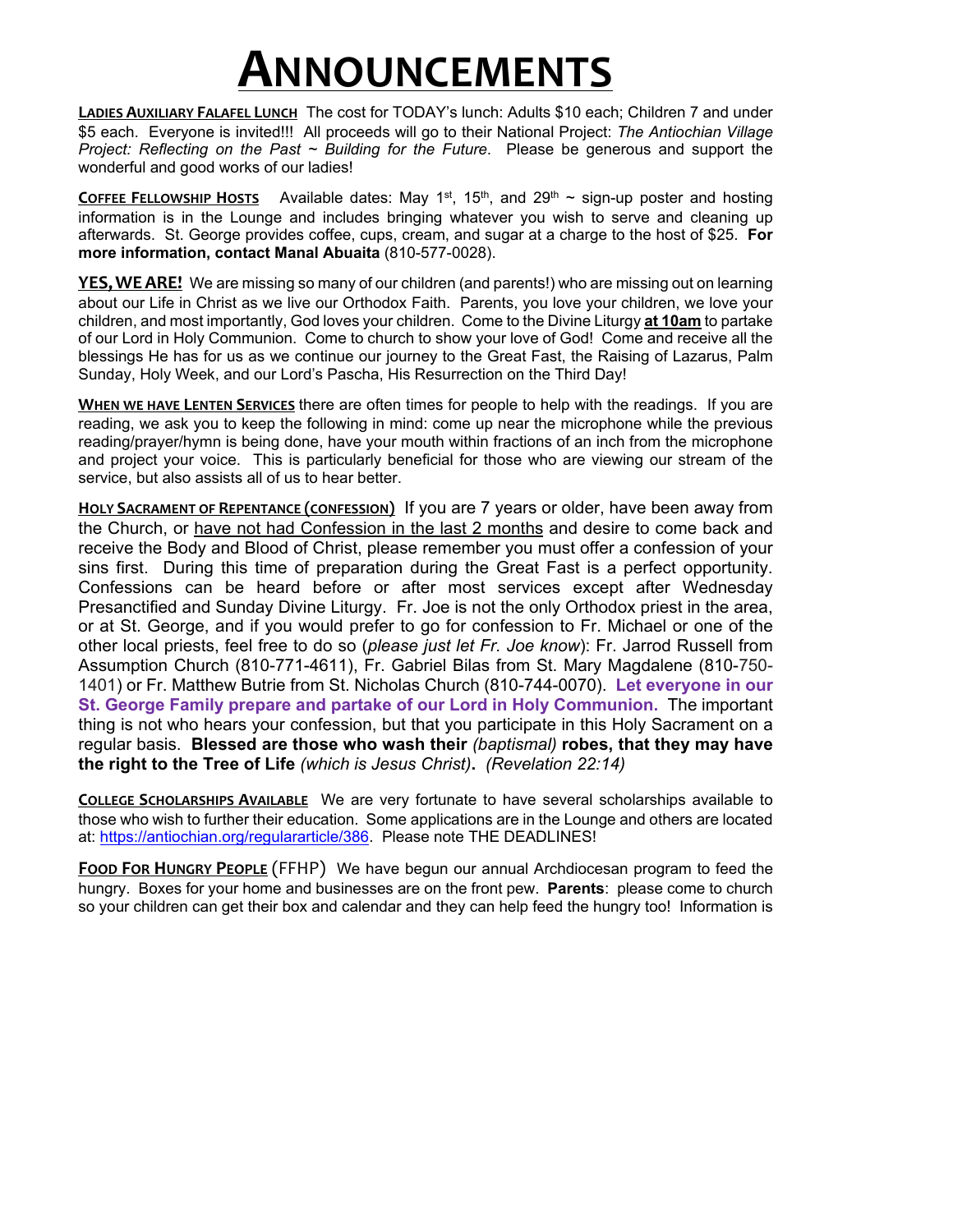# **ANNOUNCEMENTS**

**LADIES AUXILIARY FALAFEL LUNCH** The cost for TODAY's lunch: Adults \$10 each; Children 7 and under \$5 each. Everyone is invited!!! All proceeds will go to their National Project: *The Antiochian Village Project: Reflecting on the Past ~ Building for the Future*. Please be generous and support the wonderful and good works of our ladies!

**COFFEE FELLOWSHIP HOSTS** Available dates: May 1<sup>st</sup>, 15<sup>th</sup>, and 29<sup>th</sup>  $\sim$  sign-up poster and hosting information is in the Lounge and includes bringing whatever you wish to serve and cleaning up afterwards. St. George provides coffee, cups, cream, and sugar at a charge to the host of \$25. **For more information, contact Manal Abuaita** (810-577-0028).

**YES,WEARE!** We are missing so many of our children (and parents!) who are missing out on learning about our Life in Christ as we live our Orthodox Faith. Parents, you love your children, we love your children, and most importantly, God loves your children. Come to the Divine Liturgy **at 10am** to partake of our Lord in Holy Communion. Come to church to show your love of God! Come and receive all the blessings He has for us as we continue our journey to the Great Fast, the Raising of Lazarus, Palm Sunday, Holy Week, and our Lord's Pascha, His Resurrection on the Third Day!

**WHEN WE HAVE LENTEN SERVICES** there are often times for people to help with the readings. If you are reading, we ask you to keep the following in mind: come up near the microphone while the previous reading/prayer/hymn is being done, have your mouth within fractions of an inch from the microphone and project your voice. This is particularly beneficial for those who are viewing our stream of the service, but also assists all of us to hear better.

**HOLY SACRAMENT OF REPENTANCE (CONFESSION)** If you are 7 years or older, have been away from the Church, or have not had Confession in the last 2 months and desire to come back and receive the Body and Blood of Christ, please remember you must offer a confession of your sins first. During this time of preparation during the Great Fast is a perfect opportunity. Confessions can be heard before or after most services except after Wednesday Presanctified and Sunday Divine Liturgy. Fr. Joe is not the only Orthodox priest in the area, or at St. George, and if you would prefer to go for confession to Fr. Michael or one of the other local priests, feel free to do so (*please just let Fr. Joe know*): Fr. Jarrod Russell from Assumption Church (810-771-4611), Fr. Gabriel Bilas from St. Mary Magdalene (810-750- 1401) or Fr. Matthew Butrie from St. Nicholas Church (810-744-0070). **Let everyone in our St. George Family prepare and partake of our Lord in Holy Communion.** The important thing is not who hears your confession, but that you participate in this Holy Sacrament on a regular basis. **Blessed are those who wash their** *(baptismal)* **robes, that they may have the right to the Tree of Life** *(which is Jesus Christ)***.** *(Revelation 22:14)* 

**COLLEGE SCHOLARSHIPS AVAILABLE** We are very fortunate to have several scholarships available to those who wish to further their education. Some applications are in the Lounge and others are located at: https://antiochian.org/regulararticle/386. Please note THE DEADLINES!

**FOOD FOR HUNGRY PEOPLE** (FFHP) We have begun our annual Archdiocesan program to feed the hungry. Boxes for your home and businesses are on the front pew. **Parents**: please come to church so your children can get their box and calendar and they can help feed the hungry too! Information is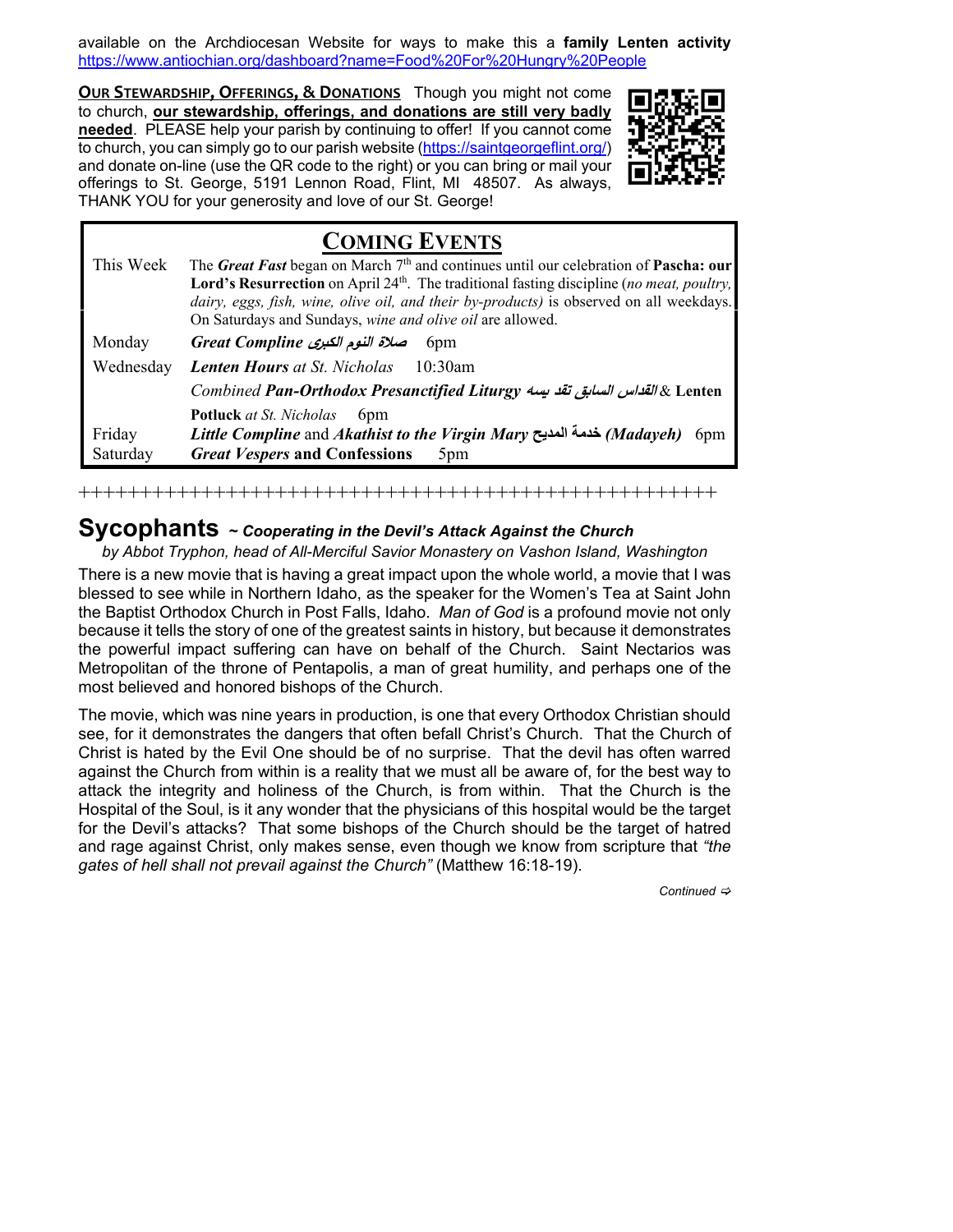available on the Archdiocesan Website for ways to make this a **family Lenten activity** https://www.antiochian.org/dashboard?name=Food%20For%20Hungry%20People

**OUR STEWARDSHIP, OFFERINGS, & DONATIONS** Though you might not come to church, **our stewardship, offerings, and donations are still very badly needed**. PLEASE help your parish by continuing to offer! If you cannot come to church, you can simply go to our parish website (https://saintgeorgeflint.org/) and donate on-line (use the QR code to the right) or you can bring or mail your offerings to St. George, 5191 Lennon Road, Flint, MI 48507. As always, THANK YOU for your generosity and love of our St. George!



### **COMING EVENTS**

| This Week          | The <i>Great Fast</i> began on March $7th$ and continues until our celebration of <b>Pascha: our</b><br><b>Lord's Resurrection</b> on April $24th$ . The traditional fasting discipline ( <i>no meat, poultry,</i><br>dairy, eggs, fish, wine, olive oil, and their by-products) is observed on all weekdays.<br>On Saturdays and Sundays, wine and olive oil are allowed. |
|--------------------|----------------------------------------------------------------------------------------------------------------------------------------------------------------------------------------------------------------------------------------------------------------------------------------------------------------------------------------------------------------------------|
| Monday             | صلاة النوم الكبرى Great Compline<br>6 <sub>pm</sub>                                                                                                                                                                                                                                                                                                                        |
| Wednesday          | <b>Lenten Hours</b> at St. Nicholas<br>10:30am                                                                                                                                                                                                                                                                                                                             |
|                    | Combined Pan-Orthodox Presanctified Liturgy القداس السابق تقد يسه Combined Pan-Orthodox Presanctified Liturgy                                                                                                                                                                                                                                                              |
| Friday<br>Saturday | <b>Potluck</b> at St. Nicholas<br>6 <sub>pm</sub><br>Little Compline and Akathist to the Virgin Mary خدمة المديح (Madayeh)<br>6 <sub>pm</sub><br><b>Great Vespers and Confessions</b><br>5pm                                                                                                                                                                               |

++++++++++++++++++++++++++++++++++++++++++++++++++++

#### **Sycophants <sup>~</sup>** *Cooperating in the Devil's Attack Against the Church*

*by Abbot Tryphon, head of All-Merciful Savior Monastery on Vashon Island, Washington* 

There is a new movie that is having a great impact upon the whole world, a movie that I was blessed to see while in Northern Idaho, as the speaker for the Women's Tea at Saint John the Baptist Orthodox Church in Post Falls, Idaho. *Man of God* is a profound movie not only because it tells the story of one of the greatest saints in history, but because it demonstrates the powerful impact suffering can have on behalf of the Church. Saint Nectarios was Metropolitan of the throne of Pentapolis, a man of great humility, and perhaps one of the most believed and honored bishops of the Church.

The movie, which was nine years in production, is one that every Orthodox Christian should see, for it demonstrates the dangers that often befall Christ's Church. That the Church of Christ is hated by the Evil One should be of no surprise. That the devil has often warred against the Church from within is a reality that we must all be aware of, for the best way to attack the integrity and holiness of the Church, is from within. That the Church is the Hospital of the Soul, is it any wonder that the physicians of this hospital would be the target for the Devil's attacks? That some bishops of the Church should be the target of hatred and rage against Christ, only makes sense, even though we know from scripture that *"the gates of hell shall not prevail against the Church"* (Matthew 16:18-19).

*Continued*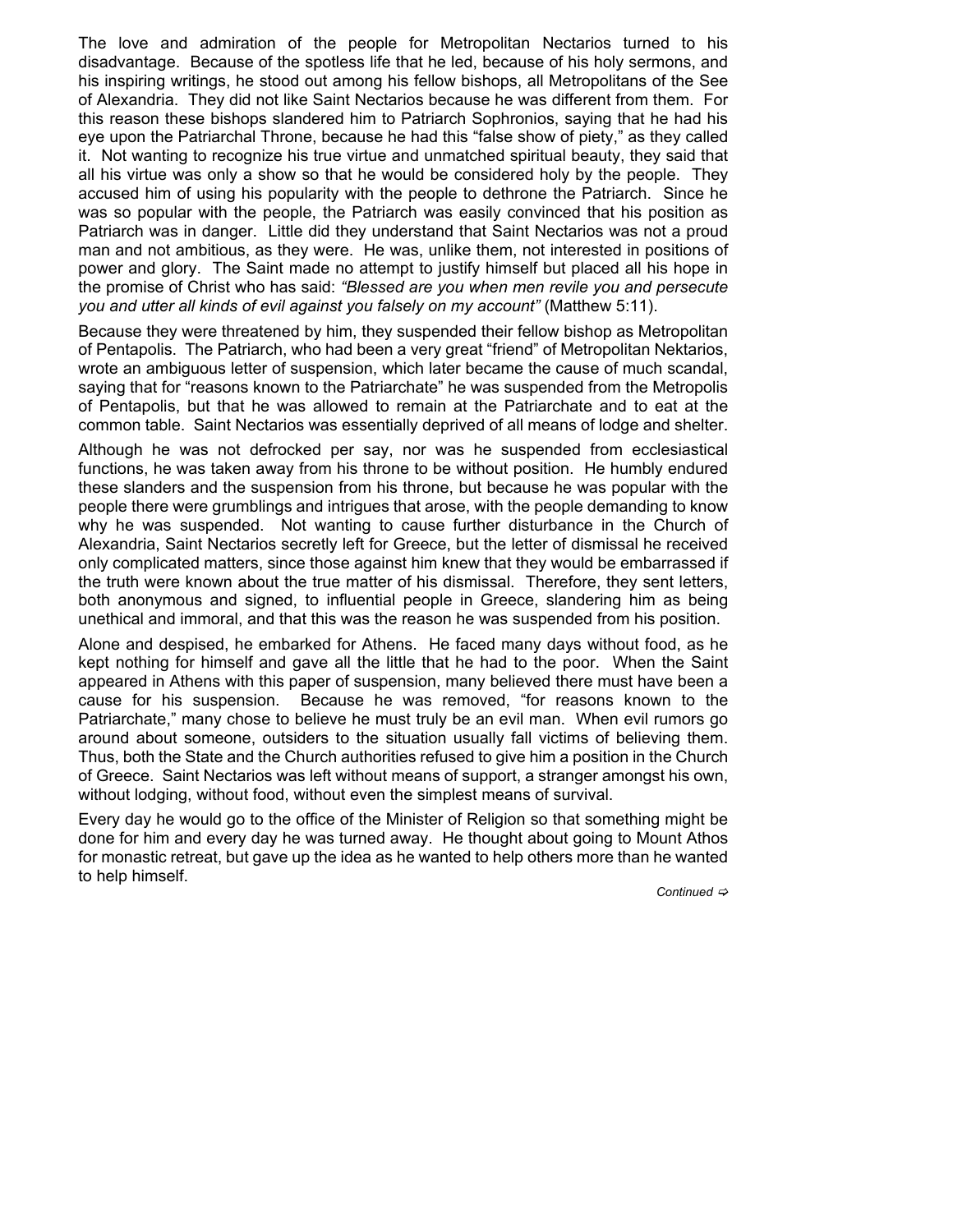The love and admiration of the people for Metropolitan Nectarios turned to his disadvantage. Because of the spotless life that he led, because of his holy sermons, and his inspiring writings, he stood out among his fellow bishops, all Metropolitans of the See of Alexandria. They did not like Saint Nectarios because he was different from them. For this reason these bishops slandered him to Patriarch Sophronios, saying that he had his eye upon the Patriarchal Throne, because he had this "false show of piety," as they called it. Not wanting to recognize his true virtue and unmatched spiritual beauty, they said that all his virtue was only a show so that he would be considered holy by the people. They accused him of using his popularity with the people to dethrone the Patriarch. Since he was so popular with the people, the Patriarch was easily convinced that his position as Patriarch was in danger. Little did they understand that Saint Nectarios was not a proud man and not ambitious, as they were. He was, unlike them, not interested in positions of power and glory. The Saint made no attempt to justify himself but placed all his hope in the promise of Christ who has said: *"Blessed are you when men revile you and persecute you and utter all kinds of evil against you falsely on my account"* (Matthew 5:11).

Because they were threatened by him, they suspended their fellow bishop as Metropolitan of Pentapolis. The Patriarch, who had been a very great "friend" of Metropolitan Nektarios, wrote an ambiguous letter of suspension, which later became the cause of much scandal, saying that for "reasons known to the Patriarchate" he was suspended from the Metropolis of Pentapolis, but that he was allowed to remain at the Patriarchate and to eat at the common table. Saint Nectarios was essentially deprived of all means of lodge and shelter.

Although he was not defrocked per say, nor was he suspended from ecclesiastical functions, he was taken away from his throne to be without position. He humbly endured these slanders and the suspension from his throne, but because he was popular with the people there were grumblings and intrigues that arose, with the people demanding to know why he was suspended. Not wanting to cause further disturbance in the Church of Alexandria, Saint Nectarios secretly left for Greece, but the letter of dismissal he received only complicated matters, since those against him knew that they would be embarrassed if the truth were known about the true matter of his dismissal. Therefore, they sent letters, both anonymous and signed, to influential people in Greece, slandering him as being unethical and immoral, and that this was the reason he was suspended from his position.

Alone and despised, he embarked for Athens. He faced many days without food, as he kept nothing for himself and gave all the little that he had to the poor. When the Saint appeared in Athens with this paper of suspension, many believed there must have been a cause for his suspension. Because he was removed, "for reasons known to the Patriarchate," many chose to believe he must truly be an evil man. When evil rumors go around about someone, outsiders to the situation usually fall victims of believing them. Thus, both the State and the Church authorities refused to give him a position in the Church of Greece. Saint Nectarios was left without means of support, a stranger amongst his own, without lodging, without food, without even the simplest means of survival.

Every day he would go to the office of the Minister of Religion so that something might be done for him and every day he was turned away. He thought about going to Mount Athos for monastic retreat, but gave up the idea as he wanted to help others more than he wanted to help himself.

*Continued*